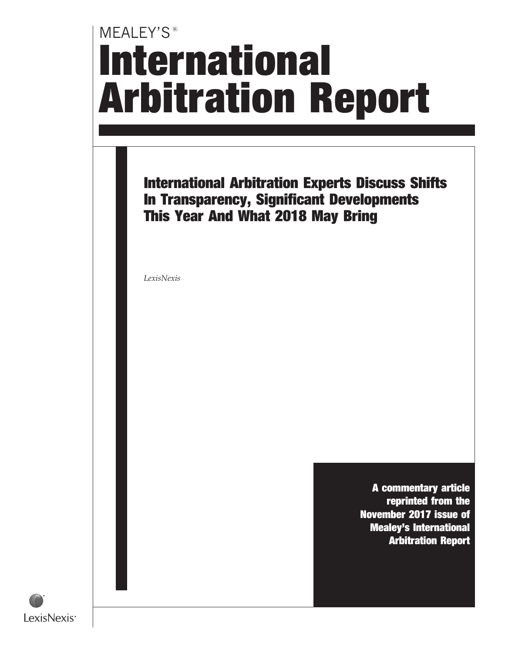# MEALEY'S<sup>®</sup> International Arbitration Report

International Arbitration Experts Discuss Shifts In Transparency, Significant Developments This Year And What 2018 May Bring

LexisNexis

A commentary article reprinted from the November 2017 issue of Mealey's International Arbitration Report

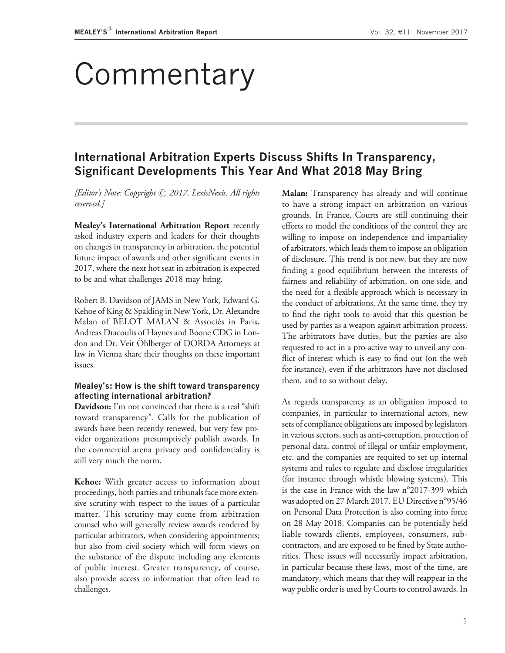## Commentary

### International Arbitration Experts Discuss Shifts In Transparency, Significant Developments This Year And What 2018 May Bring

[Editor's Note: Copyright © 2017, LexisNexis. All rights reserved.]

Mealey's International Arbitration Report recently asked industry experts and leaders for their thoughts on changes in transparency in arbitration, the potential future impact of awards and other significant events in 2017, where the next hot seat in arbitration is expected to be and what challenges 2018 may bring.

Robert B. Davidson of JAMS in New York, Edward G. Kehoe of King & Spalding in New York, Dr. Alexandre Malan of BELOT MALAN & Associés in Paris, Andreas Dracoulis of Haynes and Boone CDG in London and Dr. Veit Ohlberger of DORDA Attorneys at law in Vienna share their thoughts on these important issues.

#### Mealey's: How is the shift toward transparency affecting international arbitration?

Davidson: I'm not convinced that there is a real "shift" toward transparency''. Calls for the publication of awards have been recently renewed, but very few provider organizations presumptively publish awards. In the commercial arena privacy and confidentiality is still very much the norm.

Kehoe: With greater access to information about proceedings, both parties and tribunals face more extensive scrutiny with respect to the issues of a particular matter. This scrutiny may come from arbitration counsel who will generally review awards rendered by particular arbitrators, when considering appointments; but also from civil society which will form views on the substance of the dispute including any elements of public interest. Greater transparency, of course, also provide access to information that often lead to challenges.

Malan: Transparency has already and will continue to have a strong impact on arbitration on various grounds. In France, Courts are still continuing their efforts to model the conditions of the control they are willing to impose on independence and impartiality of arbitrators, which leads them to impose an obligation of disclosure. This trend is not new, but they are now finding a good equilibrium between the interests of fairness and reliability of arbitration, on one side, and the need for a flexible approach which is necessary in the conduct of arbitrations. At the same time, they try to find the right tools to avoid that this question be used by parties as a weapon against arbitration process. The arbitrators have duties, but the parties are also requested to act in a pro-active way to unveil any conflict of interest which is easy to find out (on the web for instance), even if the arbitrators have not disclosed them, and to so without delay.

As regards transparency as an obligation imposed to companies, in particular to international actors, new sets of compliance obligations are imposed by legislators in various sectors, such as anti-corruption, protection of personal data, control of illegal or unfair employment, etc. and the companies are required to set up internal systems and rules to regulate and disclose irregularities (for instance through whistle blowing systems). This is the case in France with the law  $n^{\circ}2017$ -399 which was adopted on 27 March 2017. EU Directive n°95/46 on Personal Data Protection is also coming into force on 28 May 2018. Companies can be potentially held liable towards clients, employees, consumers, subcontractors, and are exposed to be fined by State authorities. These issues will necessarily impact arbitration, in particular because these laws, most of the time, are mandatory, which means that they will reappear in the way public order is used by Courts to control awards. In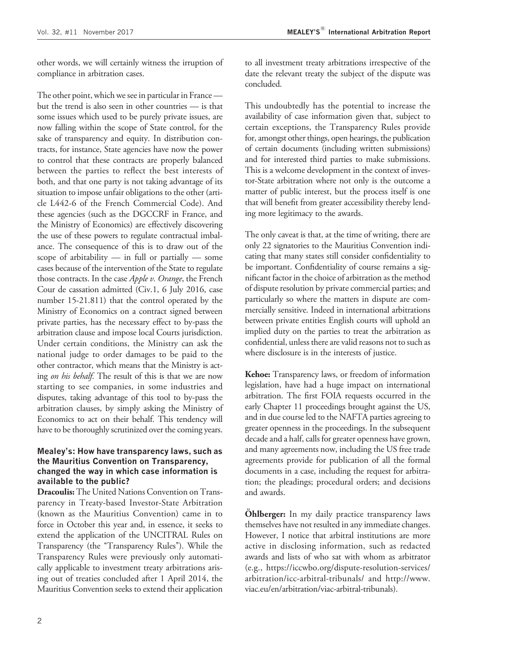other words, we will certainly witness the irruption of compliance in arbitration cases.

The other point, which we see in particular in France but the trend is also seen in other countries — is that some issues which used to be purely private issues, are now falling within the scope of State control, for the sake of transparency and equity. In distribution contracts, for instance, State agencies have now the power to control that these contracts are properly balanced between the parties to reflect the best interests of both, and that one party is not taking advantage of its situation to impose unfair obligations to the other (article L442-6 of the French Commercial Code). And these agencies (such as the DGCCRF in France, and the Ministry of Economics) are effectively discovering the use of these powers to regulate contractual imbalance. The consequence of this is to draw out of the scope of arbitability  $-$  in full or partially  $-$  some cases because of the intervention of the State to regulate those contracts. In the case Apple v. Orange, the French Cour de cassation admitted (Civ.1, 6 July 2016, case number 15-21.811) that the control operated by the Ministry of Economics on a contract signed between private parties, has the necessary effect to by-pass the arbitration clause and impose local Courts jurisdiction. Under certain conditions, the Ministry can ask the national judge to order damages to be paid to the other contractor, which means that the Ministry is acting on his behalf. The result of this is that we are now starting to see companies, in some industries and disputes, taking advantage of this tool to by-pass the arbitration clauses, by simply asking the Ministry of Economics to act on their behalf. This tendency will have to be thoroughly scrutinized over the coming years.

#### Mealey's: How have transparency laws, such as the Mauritius Convention on Transparency, changed the way in which case information is available to the public?

Dracoulis: The United Nations Convention on Transparency in Treaty-based Investor-State Arbitration (known as the Mauritius Convention) came in to force in October this year and, in essence, it seeks to extend the application of the UNCITRAL Rules on Transparency (the "Transparency Rules"). While the Transparency Rules were previously only automatically applicable to investment treaty arbitrations arising out of treaties concluded after 1 April 2014, the Mauritius Convention seeks to extend their application

to all investment treaty arbitrations irrespective of the date the relevant treaty the subject of the dispute was concluded.

This undoubtedly has the potential to increase the availability of case information given that, subject to certain exceptions, the Transparency Rules provide for, amongst other things, open hearings, the publication of certain documents (including written submissions) and for interested third parties to make submissions. This is a welcome development in the context of investor-State arbitration where not only is the outcome a matter of public interest, but the process itself is one that will benefit from greater accessibility thereby lending more legitimacy to the awards.

The only caveat is that, at the time of writing, there are only 22 signatories to the Mauritius Convention indicating that many states still consider confidentiality to be important. Confidentiality of course remains a significant factor in the choice of arbitration as the method of dispute resolution by private commercial parties; and particularly so where the matters in dispute are commercially sensitive. Indeed in international arbitrations between private entities English courts will uphold an implied duty on the parties to treat the arbitration as confidential, unless there are valid reasons not to such as where disclosure is in the interests of justice.

Kehoe: Transparency laws, or freedom of information legislation, have had a huge impact on international arbitration. The first FOIA requests occurred in the early Chapter 11 proceedings brought against the US, and in due course led to the NAFTA parties agreeing to greater openness in the proceedings. In the subsequent decade and a half, calls for greater openness have grown, and many agreements now, including the US free trade agreements provide for publication of all the formal documents in a case, including the request for arbitration; the pleadings; procedural orders; and decisions and awards.

**Ohlberger:** In my daily practice transparency laws themselves have not resulted in any immediate changes. However, I notice that arbitral institutions are more active in disclosing information, such as redacted awards and lists of who sat with whom as arbitrator (e.g., [https://iccwbo.org/dispute-resolution-services/](https://iccwbo.org/dispute-resolution-services/arbitration/icc-arbitral-tribunals/) [arbitration/icc-arbitral-tribunals/](https://iccwbo.org/dispute-resolution-services/arbitration/icc-arbitral-tribunals/) and [http://www.](http://www.viac.eu/en/arbitration/viac-arbitral-tribunals) [viac.eu/en/arbitration/viac-arbitral-tribunals\)](http://www.viac.eu/en/arbitration/viac-arbitral-tribunals).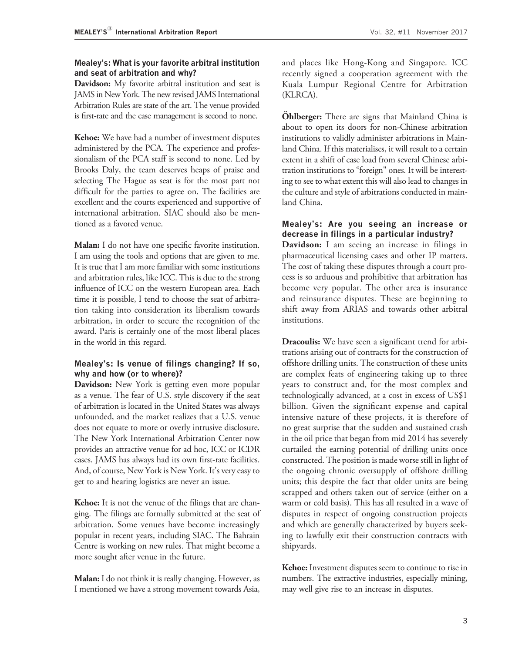#### Mealey's: What is your favorite arbitral institution and seat of arbitration and why?

**Davidson:** My favorite arbitral institution and seat is JAMS in New York. The new revised JAMS International Arbitration Rules are state of the art. The venue provided is first-rate and the case management is second to none.

Kehoe: We have had a number of investment disputes administered by the PCA. The experience and professionalism of the PCA staff is second to none. Led by Brooks Daly, the team deserves heaps of praise and selecting The Hague as seat is for the most part not difficult for the parties to agree on. The facilities are excellent and the courts experienced and supportive of international arbitration. SIAC should also be mentioned as a favored venue.

Malan: I do not have one specific favorite institution. I am using the tools and options that are given to me. It is true that I am more familiar with some institutions and arbitration rules, like ICC. This is due to the strong influence of ICC on the western European area. Each time it is possible, I tend to choose the seat of arbitration taking into consideration its liberalism towards arbitration, in order to secure the recognition of the award. Paris is certainly one of the most liberal places in the world in this regard.

#### Mealey's: Is venue of filings changing? If so, why and how (or to where)?

Davidson: New York is getting even more popular as a venue. The fear of U.S. style discovery if the seat of arbitration is located in the United States was always unfounded, and the market realizes that a U.S. venue does not equate to more or overly intrusive disclosure. The New York International Arbitration Center now provides an attractive venue for ad hoc, ICC or ICDR cases. JAMS has always had its own first-rate facilities. And, of course, New York is New York. It's very easy to get to and hearing logistics are never an issue.

Kehoe: It is not the venue of the filings that are changing. The filings are formally submitted at the seat of arbitration. Some venues have become increasingly popular in recent years, including SIAC. The Bahrain Centre is working on new rules. That might become a more sought after venue in the future.

**Malan:** I do not think it is really changing. However, as I mentioned we have a strong movement towards Asia,

and places like Hong-Kong and Singapore. ICC recently signed a cooperation agreement with the Kuala Lumpur Regional Centre for Arbitration (KLRCA).

**Ohlberger:** There are signs that Mainland China is about to open its doors for non-Chinese arbitration institutions to validly administer arbitrations in Mainland China. If this materialises, it will result to a certain extent in a shift of case load from several Chinese arbitration institutions to "foreign" ones. It will be interesting to see to what extent this will also lead to changes in the culture and style of arbitrations conducted in mainland China.

#### Mealey's: Are you seeing an increase or decrease in filings in a particular industry?

Davidson: I am seeing an increase in filings in pharmaceutical licensing cases and other IP matters. The cost of taking these disputes through a court process is so arduous and prohibitive that arbitration has become very popular. The other area is insurance and reinsurance disputes. These are beginning to shift away from ARIAS and towards other arbitral institutions.

Dracoulis: We have seen a significant trend for arbitrations arising out of contracts for the construction of offshore drilling units. The construction of these units are complex feats of engineering taking up to three years to construct and, for the most complex and technologically advanced, at a cost in excess of US\$1 billion. Given the significant expense and capital intensive nature of these projects, it is therefore of no great surprise that the sudden and sustained crash in the oil price that began from mid 2014 has severely curtailed the earning potential of drilling units once constructed. The position is made worse still in light of the ongoing chronic oversupply of offshore drilling units; this despite the fact that older units are being scrapped and others taken out of service (either on a warm or cold basis). This has all resulted in a wave of disputes in respect of ongoing construction projects and which are generally characterized by buyers seeking to lawfully exit their construction contracts with shipyards.

Kehoe: Investment disputes seem to continue to rise in numbers. The extractive industries, especially mining, may well give rise to an increase in disputes.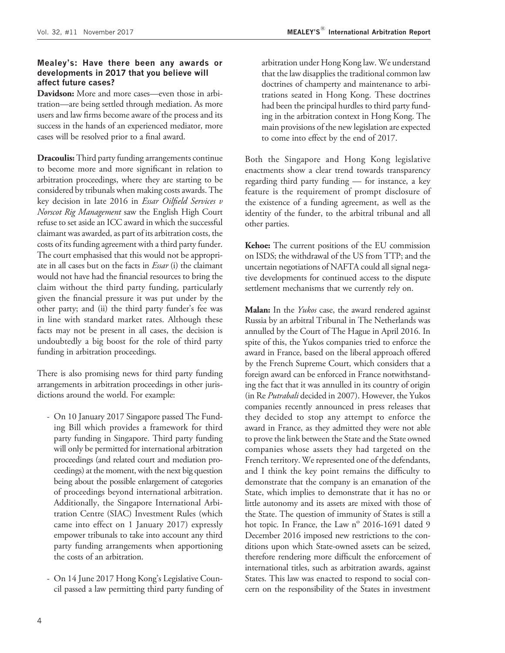#### Mealey's: Have there been any awards or developments in 2017 that you believe will affect future cases?

**Davidson:** More and more cases—even those in arbitration—are being settled through mediation. As more users and law firms become aware of the process and its success in the hands of an experienced mediator, more cases will be resolved prior to a final award.

**Dracoulis:** Third party funding arrangements continue to become more and more significant in relation to arbitration proceedings, where they are starting to be considered by tribunals when making costs awards. The key decision in late 2016 in Essar Oilfield Services v Norscot Rig Management saw the English High Court refuse to set aside an ICC award in which the successful claimant was awarded, as part of its arbitration costs, the costs of its funding agreement with a third party funder. The court emphasised that this would not be appropriate in all cases but on the facts in *Essar* (i) the claimant would not have had the financial resources to bring the claim without the third party funding, particularly given the financial pressure it was put under by the other party; and (ii) the third party funder's fee was in line with standard market rates. Although these facts may not be present in all cases, the decision is undoubtedly a big boost for the role of third party funding in arbitration proceedings.

There is also promising news for third party funding arrangements in arbitration proceedings in other jurisdictions around the world. For example:

- On 10 January 2017 Singapore passed The Funding Bill which provides a framework for third party funding in Singapore. Third party funding will only be permitted for international arbitration proceedings (and related court and mediation proceedings) at the moment, with the next big question being about the possible enlargement of categories of proceedings beyond international arbitration. Additionally, the Singapore International Arbitration Centre (SIAC) Investment Rules (which came into effect on 1 January 2017) expressly empower tribunals to take into account any third party funding arrangements when apportioning the costs of an arbitration.
- On 14 June 2017 Hong Kong's Legislative Council passed a law permitting third party funding of

arbitration under Hong Kong law. We understand that the law disapplies the traditional common law doctrines of champerty and maintenance to arbitrations seated in Hong Kong. These doctrines had been the principal hurdles to third party funding in the arbitration context in Hong Kong. The main provisions of the new legislation are expected to come into effect by the end of 2017.

Both the Singapore and Hong Kong legislative enactments show a clear trend towards transparency regarding third party funding — for instance, a key feature is the requirement of prompt disclosure of the existence of a funding agreement, as well as the identity of the funder, to the arbitral tribunal and all other parties.

Kehoe: The current positions of the EU commission on ISDS; the withdrawal of the US from TTP; and the uncertain negotiations of NAFTA could all signal negative developments for continued access to the dispute settlement mechanisms that we currently rely on.

Malan: In the *Yukos* case, the award rendered against Russia by an arbitral Tribunal in The Netherlands was annulled by the Court of The Hague in April 2016. In spite of this, the Yukos companies tried to enforce the award in France, based on the liberal approach offered by the French Supreme Court, which considers that a foreign award can be enforced in France notwithstanding the fact that it was annulled in its country of origin (in Re Putrabali decided in 2007). However, the Yukos companies recently announced in press releases that they decided to stop any attempt to enforce the award in France, as they admitted they were not able to prove the link between the State and the State owned companies whose assets they had targeted on the French territory. We represented one of the defendants, and I think the key point remains the difficulty to demonstrate that the company is an emanation of the State, which implies to demonstrate that it has no or little autonomy and its assets are mixed with those of the State. The question of immunity of States is still a hot topic. In France, the Law  $n^{\circ}$  2016-1691 dated 9 December 2016 imposed new restrictions to the conditions upon which State-owned assets can be seized, therefore rendering more difficult the enforcement of international titles, such as arbitration awards, against States. This law was enacted to respond to social concern on the responsibility of the States in investment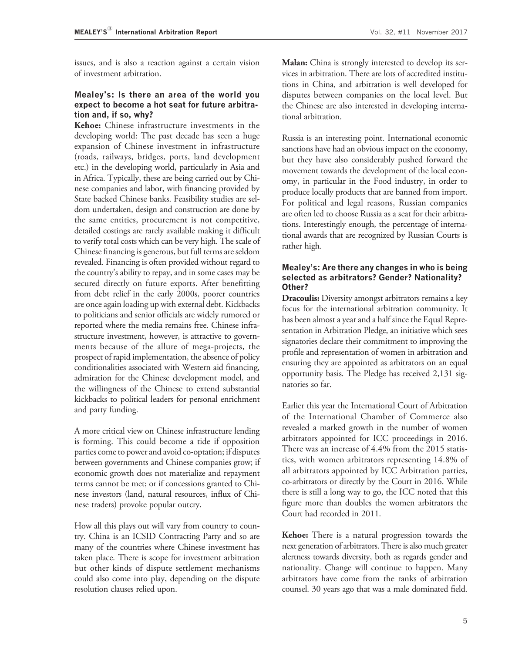issues, and is also a reaction against a certain vision of investment arbitration.

#### Mealey's: Is there an area of the world you expect to become a hot seat for future arbitration and, if so, why?

Kehoe: Chinese infrastructure investments in the developing world: The past decade has seen a huge expansion of Chinese investment in infrastructure (roads, railways, bridges, ports, land development etc.) in the developing world, particularly in Asia and in Africa. Typically, these are being carried out by Chinese companies and labor, with financing provided by State backed Chinese banks. Feasibility studies are seldom undertaken, design and construction are done by the same entities, procurement is not competitive, detailed costings are rarely available making it difficult to verify total costs which can be very high. The scale of Chinese financing is generous, but full terms are seldom revealed. Financing is often provided without regard to the country's ability to repay, and in some cases may be secured directly on future exports. After benefitting from debt relief in the early 2000s, poorer countries are once again loading up with external debt. Kickbacks to politicians and senior officials are widely rumored or reported where the media remains free. Chinese infrastructure investment, however, is attractive to governments because of the allure of mega-projects, the prospect of rapid implementation, the absence of policy conditionalities associated with Western aid financing, admiration for the Chinese development model, and the willingness of the Chinese to extend substantial kickbacks to political leaders for personal enrichment and party funding.

A more critical view on Chinese infrastructure lending is forming. This could become a tide if opposition parties come to power and avoid co-optation; if disputes between governments and Chinese companies grow; if economic growth does not materialize and repayment terms cannot be met; or if concessions granted to Chinese investors (land, natural resources, influx of Chinese traders) provoke popular outcry.

How all this plays out will vary from country to country. China is an ICSID Contracting Party and so are many of the countries where Chinese investment has taken place. There is scope for investment arbitration but other kinds of dispute settlement mechanisms could also come into play, depending on the dispute resolution clauses relied upon.

Malan: China is strongly interested to develop its services in arbitration. There are lots of accredited institutions in China, and arbitration is well developed for disputes between companies on the local level. But the Chinese are also interested in developing international arbitration.

Russia is an interesting point. International economic sanctions have had an obvious impact on the economy, but they have also considerably pushed forward the movement towards the development of the local economy, in particular in the Food industry, in order to produce locally products that are banned from import. For political and legal reasons, Russian companies are often led to choose Russia as a seat for their arbitrations. Interestingly enough, the percentage of international awards that are recognized by Russian Courts is rather high.

#### Mealey's: Are there any changes in who is being selected as arbitrators? Gender? Nationality? Other?

**Dracoulis:** Diversity amongst arbitrators remains a key focus for the international arbitration community. It has been almost a year and a half since the Equal Representation in Arbitration Pledge, an initiative which sees signatories declare their commitment to improving the profile and representation of women in arbitration and ensuring they are appointed as arbitrators on an equal opportunity basis. The Pledge has received 2,131 signatories so far.

Earlier this year the International Court of Arbitration of the International Chamber of Commerce also revealed a marked growth in the number of women arbitrators appointed for ICC proceedings in 2016. There was an increase of 4.4% from the 2015 statistics, with women arbitrators representing 14.8% of all arbitrators appointed by ICC Arbitration parties, co-arbitrators or directly by the Court in 2016. While there is still a long way to go, the ICC noted that this figure more than doubles the women arbitrators the Court had recorded in 2011.

Kehoe: There is a natural progression towards the next generation of arbitrators. There is also much greater alertness towards diversity, both as regards gender and nationality. Change will continue to happen. Many arbitrators have come from the ranks of arbitration counsel. 30 years ago that was a male dominated field.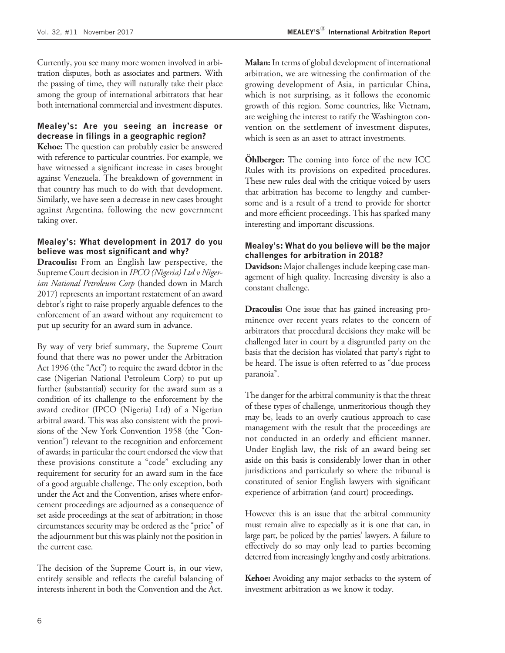Currently, you see many more women involved in arbitration disputes, both as associates and partners. With the passing of time, they will naturally take their place among the group of international arbitrators that hear both international commercial and investment disputes.

#### Mealey's: Are you seeing an increase or decrease in filings in a geographic region?

Kehoe: The question can probably easier be answered with reference to particular countries. For example, we have witnessed a significant increase in cases brought against Venezuela. The breakdown of government in that country has much to do with that development. Similarly, we have seen a decrease in new cases brought against Argentina, following the new government taking over.

#### Mealey's: What development in 2017 do you believe was most significant and why?

Dracoulis: From an English law perspective, the Supreme Court decision in IPCO (Nigeria) Ltd v Nigerian National Petroleum Corp (handed down in March 2017) represents an important restatement of an award debtor's right to raise properly arguable defences to the enforcement of an award without any requirement to put up security for an award sum in advance.

By way of very brief summary, the Supreme Court found that there was no power under the Arbitration Act 1996 (the "Act") to require the award debtor in the case (Nigerian National Petroleum Corp) to put up further (substantial) security for the award sum as a condition of its challenge to the enforcement by the award creditor (IPCO (Nigeria) Ltd) of a Nigerian arbitral award. This was also consistent with the provisions of the New York Convention 1958 (the "Convention'') relevant to the recognition and enforcement of awards; in particular the court endorsed the view that these provisions constitute a ''code'' excluding any requirement for security for an award sum in the face of a good arguable challenge. The only exception, both under the Act and the Convention, arises where enforcement proceedings are adjourned as a consequence of set aside proceedings at the seat of arbitration; in those circumstances security may be ordered as the "price" of the adjournment but this was plainly not the position in the current case.

The decision of the Supreme Court is, in our view, entirely sensible and reflects the careful balancing of interests inherent in both the Convention and the Act.

Malan: In terms of global development of international arbitration, we are witnessing the confirmation of the growing development of Asia, in particular China, which is not surprising, as it follows the economic growth of this region. Some countries, like Vietnam, are weighing the interest to ratify the Washington convention on the settlement of investment disputes, which is seen as an asset to attract investments.

**Ohlberger:** The coming into force of the new ICC Rules with its provisions on expedited procedures. These new rules deal with the critique voiced by users that arbitration has become to lengthy and cumbersome and is a result of a trend to provide for shorter and more efficient proceedings. This has sparked many interesting and important discussions.

#### Mealey's: What do you believe will be the major challenges for arbitration in 2018?

Davidson: Major challenges include keeping case management of high quality. Increasing diversity is also a constant challenge.

**Dracoulis:** One issue that has gained increasing prominence over recent years relates to the concern of arbitrators that procedural decisions they make will be challenged later in court by a disgruntled party on the basis that the decision has violated that party's right to be heard. The issue is often referred to as ''due process paranoia''.

The danger for the arbitral community is that the threat of these types of challenge, unmeritorious though they may be, leads to an overly cautious approach to case management with the result that the proceedings are not conducted in an orderly and efficient manner. Under English law, the risk of an award being set aside on this basis is considerably lower than in other jurisdictions and particularly so where the tribunal is constituted of senior English lawyers with significant experience of arbitration (and court) proceedings.

However this is an issue that the arbitral community must remain alive to especially as it is one that can, in large part, be policed by the parties' lawyers. A failure to effectively do so may only lead to parties becoming deterred from increasingly lengthy and costly arbitrations.

Kehoe: Avoiding any major setbacks to the system of investment arbitration as we know it today.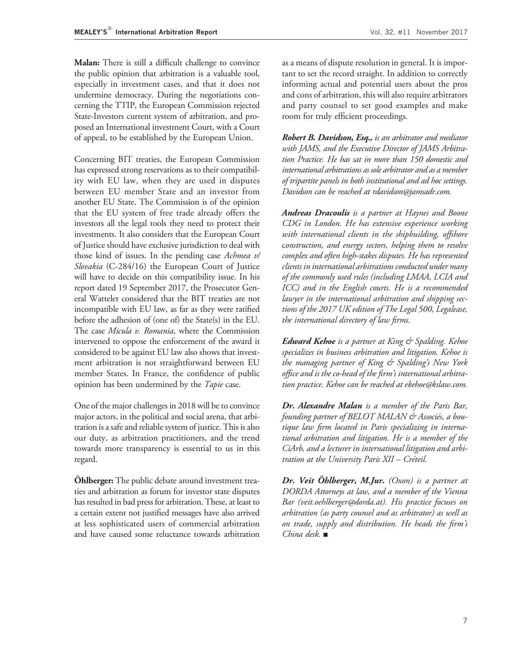Malan: There is still a difficult challenge to convince the public opinion that arbitration is a valuable tool, especially in investment cases, and that it does not undermine democracy. During the negotiations concerning the TTIP, the European Commission rejected State-Investors current system of arbitration, and proposed an International investment Court, with a Court of appeal, to be established by the European Union.

Concerning BIT treaties, the European Commission has expressed strong reservations as to their compatibility with EU law, when they are used in disputes between EU member State and an investor from another EU State. The Commission is of the opinion that the EU system of free trade already offers the investors all the legal tools they need to protect their investments. It also considers that the European Court of Justice should have exclusive jurisdiction to deal with those kind of issues. In the pending case Achmea v/ Slovakia (C-284/16) the European Court of Justice will have to decide on this compatibility issue. In his report dated 19 September 2017, the Prosecutor General Wattelet considered that the BIT treaties are not incompatible with EU law, as far as they were ratified before the adhesion of (one of) the State(s) in the EU. The case *Micula v. Romania*, where the Commission intervened to oppose the enforcement of the award it considered to be against EU law also shows that investment arbitration is not straightforward between EU member States. In France, the confidence of public opinion has been undermined by the Tapie case.

One of the major challenges in 2018 will be to convince major actors, in the political and social arena, that arbitration is a safe and reliable system of justice. This is also our duty, as arbitration practitioners, and the trend towards more transparency is essential to us in this regard.

**Ohlberger:** The public debate around investment treaties and arbitration as forum for investor state disputes has resulted in bad press for arbitration. These, at least to a certain extent not justified messages have also arrived at less sophisticated users of commercial arbitration and have caused some reluctance towards arbitration

as a means of dispute resolution in general. It is important to set the record straight. In addition to correctly informing actual and potential users about the pros and cons of arbitration, this will also require arbitrators and party counsel to set good examples and make room for truly efficient proceedings.

Robert B. Davidson, Esq., is an arbitrator and mediator with JAMS, and the Executive Director of JAMS Arbitration Practice. He has sat in more than 150 domestic and international arbitrations as sole arbitrator and as a member of tripartite panels in both institutional and ad hoc settings. Davidson can be reached at [rdavidson@jamsadr.com.](rdavidson@jamsadr.com)

Andreas Dracoulis is a partner at Haynes and Boone CDG in London. He has extensive experience working with international clients in the shipbuilding, offshore construction, and energy sectors, helping them to resolve complex and often high-stakes disputes. He has represented clients in international arbitrations conducted under many of the commonly used rules (including LMAA, LCIA and ICC) and in the English courts. He is a recommended lawyer in the international arbitration and shipping sections of the 2017 UK edition of The Legal 500, Legalease, the international directory of law firms.

**Edward Kehoe** is a partner at King & Spalding. Kehoe specializes in business arbitration and litigation. Kehoe is the managing partner of King & Spalding's New York office and is the co-head of the firm's international arbitration practice. Kehoe can be reached at<ekehoe@kslaw.com>.

Dr. Alexandre Malan is a member of the Paris Bar, founding partner of BELOT MALAN & Associés, a boutique law firm located in Paris specializing in international arbitration and litigation. He is a member of the CiArb, and a lecturer in international litigation and arbitration at the University Paris  $XII - C$ réteil.

Dr. Veit Öhlberger, M.Jur. (Oxon) is a partner at DORDA Attorneys at law, and a member of the Vienna Bar [\(veit.oehlberger@dorda.at\)](veit.oehlberger@dorda.at). His practice focuses on arbitration (as party counsel and as arbitrator) as well as on trade, supply and distribution. He heads the firm's China desk. ■